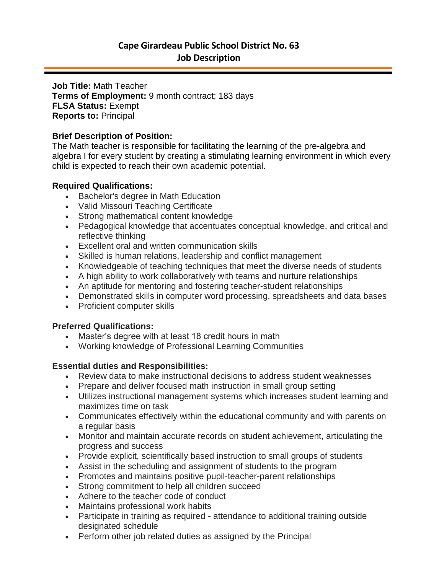# **Cape Girardeau Public School District No. 63 Job Description**

**Job Title:** Math Teacher **Terms of Employment:** 9 month contract; 183 days **FLSA Status:** Exempt **Reports to:** Principal

## **Brief Description of Position:**

The Math teacher is responsible for facilitating the learning of the pre-algebra and algebra I for every student by creating a stimulating learning environment in which every child is expected to reach their own academic potential.

### **Required Qualifications:**

- Bachelor's degree in Math Education
- Valid Missouri Teaching Certificate
- Strong mathematical content knowledge
- Pedagogical knowledge that accentuates conceptual knowledge, and critical and reflective thinking
- Excellent oral and written communication skills
- Skilled is human relations, leadership and conflict management
- Knowledgeable of teaching techniques that meet the diverse needs of students
- A high ability to work collaboratively with teams and nurture relationships
- An aptitude for mentoring and fostering teacher-student relationships
- Demonstrated skills in computer word processing, spreadsheets and data bases
- Proficient computer skills

#### **Preferred Qualifications:**

- Master's degree with at least 18 credit hours in math
- Working knowledge of Professional Learning Communities

## **Essential duties and Responsibilities:**

- Review data to make instructional decisions to address student weaknesses
- Prepare and deliver focused math instruction in small group setting
- Utilizes instructional management systems which increases student learning and maximizes time on task
- Communicates effectively within the educational community and with parents on a regular basis
- Monitor and maintain accurate records on student achievement, articulating the progress and success
- Provide explicit, scientifically based instruction to small groups of students
- Assist in the scheduling and assignment of students to the program
- Promotes and maintains positive pupil-teacher-parent relationships
- Strong commitment to help all children succeed
- Adhere to the teacher code of conduct
- Maintains professional work habits
- Participate in training as required attendance to additional training outside designated schedule
- Perform other job related duties as assigned by the Principal